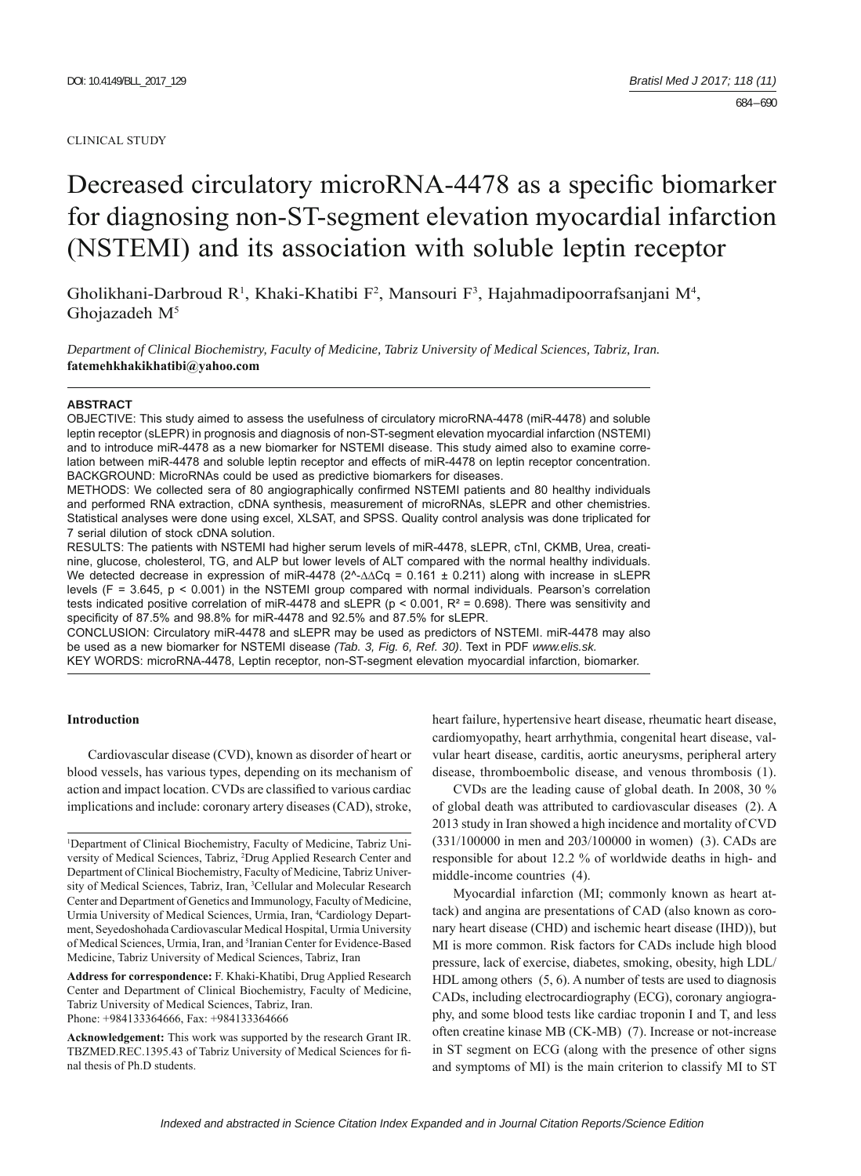#### CLINICAL STUDY

# Decreased circulatory microRNA-4478 as a specific biomarker for diagnosing non-ST-segment elevation myocardial infarction (NSTEMI) and its association with soluble leptin receptor

Gholikhani-Darbroud R<sup>1</sup>, Khaki-Khatibi F<sup>2</sup>, Mansouri F<sup>3</sup>, Hajahmadipoorrafsanjani M<sup>4</sup>, Ghojazadeh M<sup>5</sup>

*Department of Clinical Biochemistry, Faculty of Medicine, Tabriz University of Medical Sciences, Tabriz, Iran.*  **fatemehkhakikhatibi@yahoo.com**

#### **ABSTRACT**

OBJECTIVE: This study aimed to assess the usefulness of circulatory microRNA-4478 (miR-4478) and soluble leptin receptor (sLEPR) in prognosis and diagnosis of non-ST-segment elevation myocardial infarction (NSTEMI) and to introduce miR-4478 as a new biomarker for NSTEMI disease. This study aimed also to examine correlation between miR-4478 and soluble leptin receptor and effects of miR-4478 on leptin receptor concentration. BACKGROUND: MicroRNAs could be used as predictive biomarkers for diseases.

METHODS: We collected sera of 80 angiographically confirmed NSTEMI patients and 80 healthy individuals and performed RNA extraction, cDNA synthesis, measurement of microRNAs, sLEPR and other chemistries. Statistical analyses were done using excel, XLSAT, and SPSS. Quality control analysis was done triplicated for 7 serial dilution of stock cDNA solution.

RESULTS: The patients with NSTEMI had higher serum levels of miR-4478, sLEPR, cTnI, CKMB, Urea, creatinine, glucose, cholesterol, TG, and ALP but lower levels of ALT compared with the normal healthy individuals. We detected decrease in expression of miR-4478 (2^-∆∆Cq = 0.161 ± 0.211) along with increase in sLEPR levels ( $F = 3.645$ ,  $p < 0.001$ ) in the NSTEMI group compared with normal individuals. Pearson's correlation tests indicated positive correlation of miR-4478 and sLEPR ( $p < 0.001$ ,  $R<sup>2</sup> = 0.698$ ). There was sensitivity and specificity of 87.5% and 98.8% for miR-4478 and 92.5% and 87.5% for sLEPR.

CONCLUSION: Circulatory miR-4478 and sLEPR may be used as predictors of NSTEMI. miR-4478 may also be used as a new biomarker for NSTEMI disease *(Tab. 3, Fig. 6, Ref. 30)*. Text in PDF *www.elis.sk.* KEY WORDS: microRNA-4478, Leptin receptor, non-ST-segment elevation myocardial infarction, biomarker.

## **Introduction**

Cardiovascular disease (CVD), known as disorder of heart or blood vessels, has various types, depending on its mechanism of action and impact location. CVDs are classified to various cardiac implications and include: coronary artery diseases (CAD), stroke,

**Address for correspondence:** F. Khaki-Khatibi, Drug Applied Research Center and Department of Clinical Biochemistry, Faculty of Medicine, Tabriz University of Medical Sciences, Tabriz, Iran. Phone: +984133364666, Fax: +984133364666

**Acknowledgement:** This work was supported by the research Grant IR. TBZMED.REC.1395.43 of Tabriz University of Medical Sciences for final thesis of Ph.D students.

heart failure, hypertensive heart disease, rheumatic heart disease, cardiomyopathy, heart arrhythmia, congenital heart disease, valvular heart disease, carditis, aortic aneurysms, peripheral artery disease, thromboembolic disease, and venous thrombosis (1).

CVDs are the leading cause of global death. In 2008, 30 % of global death was attributed to cardiovascular diseases (2). A 2013 study in Iran showed a high incidence and mortality of CVD (331/100000 in men and 203/100000 in women) (3). CADs are responsible for about 12.2 % of worldwide deaths in high- and middle-income countries (4).

Myocardial infarction (MI; commonly known as heart attack) and angina are presentations of CAD (also known as coronary heart disease (CHD) and ischemic heart disease (IHD)), but MI is more common. Risk factors for CADs include high blood pressure, lack of exercise, diabetes, smoking, obesity, high LDL/ HDL among others (5, 6). A number of tests are used to diagnosis CADs, including electrocardiography (ECG), coronary angiography, and some blood tests like cardiac troponin I and T, and less often creatine kinase MB (CK-MB) (7). Increase or not-increase in ST segment on ECG (along with the presence of other signs and symptoms of MI) is the main criterion to classify MI to ST

<sup>1</sup> Department of Clinical Biochemistry, Faculty of Medicine, Tabriz University of Medical Sciences, Tabriz, 2 Drug Applied Research Center and Department of Clinical Biochemistry, Faculty of Medicine, Tabriz University of Medical Sciences, Tabriz, Iran, <sup>3</sup>Cellular and Molecular Research Center and Department of Genetics and Immunology, Faculty of Medicine, Urmia University of Medical Sciences, Urmia, Iran, 4 Cardiology Department, Seyedoshohada Cardiovascular Medical Hospital, Urmia University of Medical Sciences, Urmia, Iran, and <sup>5</sup>Iranian Center for Evidence-Based Medicine, Tabriz University of Medical Sciences, Tabriz, Iran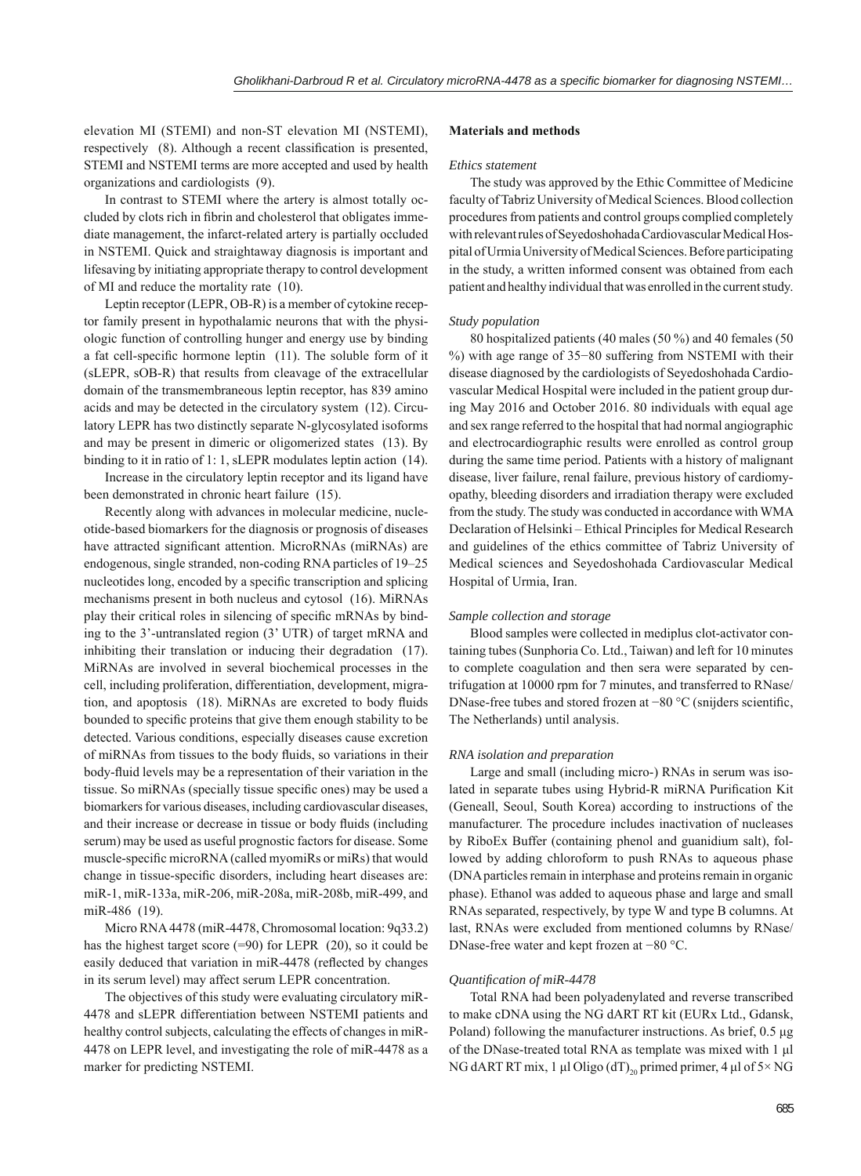elevation MI (STEMI) and non-ST elevation MI (NSTEMI), respectively (8). Although a recent classification is presented, STEMI and NSTEMI terms are more accepted and used by health organizations and cardiologists (9).

In contrast to STEMI where the artery is almost totally occluded by clots rich in fibrin and cholesterol that obligates immediate management, the infarct-related artery is partially occluded in NSTEMI. Quick and straightaway diagnosis is important and lifesaving by initiating appropriate therapy to control development of MI and reduce the mortality rate (10).

Leptin receptor (LEPR, OB-R) is a member of cytokine receptor family present in hypothalamic neurons that with the physiologic function of controlling hunger and energy use by binding a fat cell-specific hormone leptin  $(11)$ . The soluble form of it (sLEPR, sOB-R) that results from cleavage of the extracellular domain of the transmembraneous leptin receptor, has 839 amino acids and may be detected in the circulatory system (12). Circulatory LEPR has two distinctly separate N-glycosylated isoforms and may be present in dimeric or oligomerized states (13). By binding to it in ratio of 1: 1, sLEPR modulates leptin action (14).

Increase in the circulatory leptin receptor and its ligand have been demonstrated in chronic heart failure (15).

Recently along with advances in molecular medicine, nucleotide-based biomarkers for the diagnosis or prognosis of diseases have attracted significant attention. MicroRNAs (miRNAs) are endogenous, single stranded, non-coding RNA particles of 19–25 nucleotides long, encoded by a specific transcription and splicing mechanisms present in both nucleus and cytosol (16). MiRNAs play their critical roles in silencing of specific mRNAs by binding to the 3'-untranslated region (3' UTR) of target mRNA and inhibiting their translation or inducing their degradation (17). MiRNAs are involved in several biochemical processes in the cell, including proliferation, differentiation, development, migration, and apoptosis (18). MiRNAs are excreted to body fluids bounded to specific proteins that give them enough stability to be detected. Various conditions, especially diseases cause excretion of miRNAs from tissues to the body fluids, so variations in their body-fluid levels may be a representation of their variation in the tissue. So miRNAs (specially tissue specific ones) may be used a biomarkers for various diseases, including cardiovascular diseases, and their increase or decrease in tissue or body fluids (including serum) may be used as useful prognostic factors for disease. Some muscle-specific microRNA (called myomiRs or miRs) that would change in tissue-specific disorders, including heart diseases are: miR-1, miR-133a, miR-206, miR-208a, miR-208b, miR-499, and miR-486 (19).

Micro RNA 4478 (miR-4478, Chromosomal location: 9q33.2) has the highest target score (=90) for LEPR (20), so it could be easily deduced that variation in miR-4478 (reflected by changes in its serum level) may affect serum LEPR concentration.

The objectives of this study were evaluating circulatory miR-4478 and sLEPR differentiation between NSTEMI patients and healthy control subjects, calculating the effects of changes in miR-4478 on LEPR level, and investigating the role of miR-4478 as a marker for predicting NSTEMI.

## **Materials and methods**

#### *Ethics statement*

The study was approved by the Ethic Committee of Medicine faculty of Tabriz University of Medical Sciences. Blood collection procedures from patients and control groups complied completely with relevant rules of Seyedoshohada Cardiovascular Medical Hospital of Urmia University of Medical Sciences. Before participating in the study, a written informed consent was obtained from each patient and healthy individual that was enrolled in the current study.

#### *Study population*

80 hospitalized patients (40 males (50 %) and 40 females (50 %) with age range of 35−80 suffering from NSTEMI with their disease diagnosed by the cardiologists of Seyedoshohada Cardiovascular Medical Hospital were included in the patient group during May 2016 and October 2016. 80 individuals with equal age and sex range referred to the hospital that had normal angiographic and electrocardiographic results were enrolled as control group during the same time period. Patients with a history of malignant disease, liver failure, renal failure, previous history of cardiomyopathy, bleeding disorders and irradiation therapy were excluded from the study. The study was conducted in accordance with WMA Declaration of Helsinki – Ethical Principles for Medical Research and guidelines of the ethics committee of Tabriz University of Medical sciences and Seyedoshohada Cardiovascular Medical Hospital of Urmia, Iran.

#### *Sample collection and storage*

Blood samples were collected in mediplus clot-activator containing tubes (Sunphoria Co. Ltd., Taiwan) and left for 10 minutes to complete coagulation and then sera were separated by centrifugation at 10000 rpm for 7 minutes, and transferred to RNase/ DNase-free tubes and stored frozen at −80 °C (snijders scientific, The Netherlands) until analysis.

#### *RNA isolation and preparation*

Large and small (including micro-) RNAs in serum was isolated in separate tubes using Hybrid-R miRNA Purification Kit (Geneall, Seoul, South Korea) according to instructions of the manufacturer. The procedure includes inactivation of nucleases by RiboEx Buffer (containing phenol and guanidium salt), followed by adding chloroform to push RNAs to aqueous phase (DNA particles remain in interphase and proteins remain in organic phase). Ethanol was added to aqueous phase and large and small RNAs separated, respectively, by type W and type B columns. At last, RNAs were excluded from mentioned columns by RNase/ DNase-free water and kept frozen at −80 °C.

#### *Quantifi cation of miR-4478*

Total RNA had been polyadenylated and reverse transcribed to make cDNA using the NG dART RT kit (EURx Ltd., Gdansk, Poland) following the manufacturer instructions. As brief, 0.5 μg of the DNase-treated total RNA as template was mixed with 1 μl NG dART RT mix, 1 μl Oligo (dT)<sub>20</sub> primed primer, 4 μl of 5× NG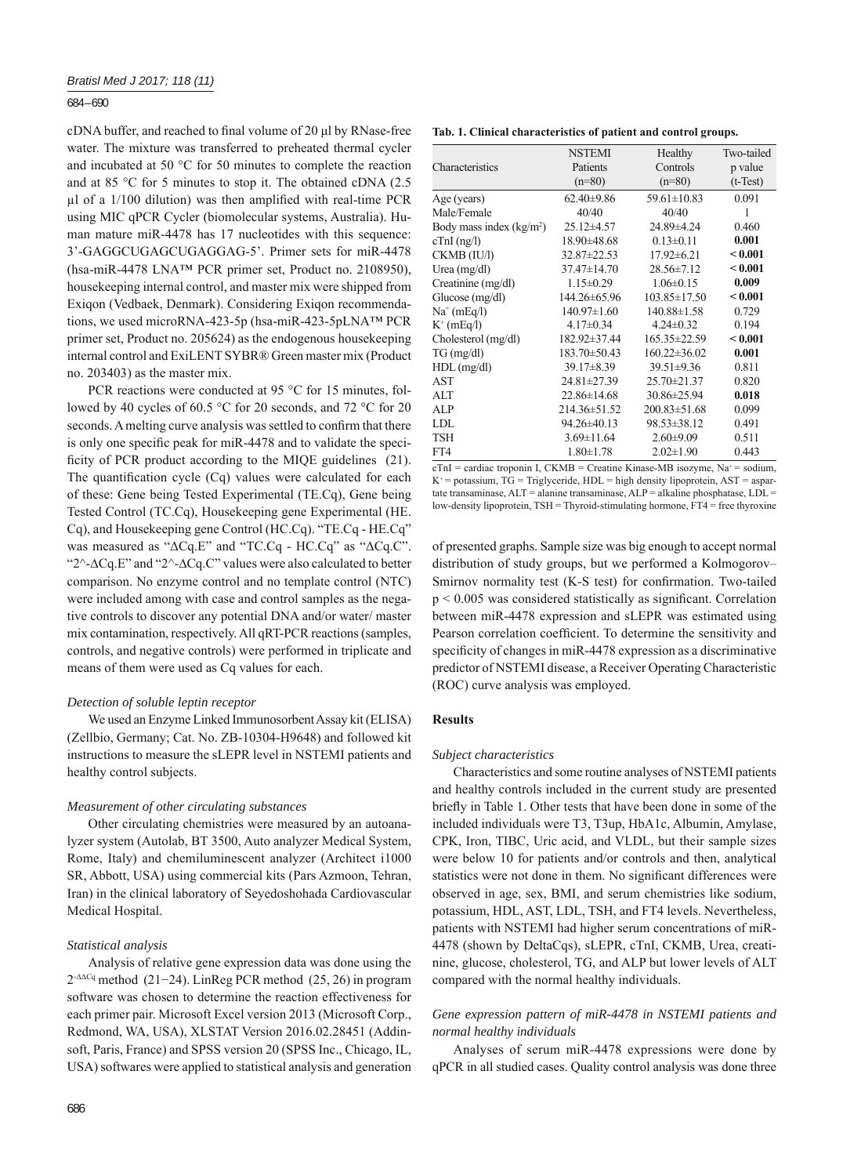#### 684 – 690

cDNA buffer, and reached to final volume of 20 μl by RNase-free water. The mixture was transferred to preheated thermal cycler and incubated at 50 °C for 50 minutes to complete the reaction and at 85 °C for 5 minutes to stop it. The obtained cDNA (2.5 μl of a  $1/100$  dilution) was then amplified with real-time PCR using MIC qPCR Cycler (biomolecular systems, Australia). Human mature miR-4478 has 17 nucleotides with this sequence: 3'-GAGGCUGAGCUGAGGAG-5'. Primer sets for miR-4478 (hsa-miR-4478 LNA™ PCR primer set, Product no. 2108950), housekeeping internal control, and master mix were shipped from Exiqon (Vedbaek, Denmark). Considering Exiqon recommendations, we used microRNA-423-5p (hsa-miR-423-5pLNA™ PCR primer set, Product no. 205624) as the endogenous housekeeping internal control and ExiLENT SYBR® Green master mix (Product no. 203403) as the master mix.

PCR reactions were conducted at 95 °C for 15 minutes, followed by 40 cycles of 60.5 °C for 20 seconds, and 72 °C for 20 seconds. A melting curve analysis was settled to confirm that there is only one specific peak for miR-4478 and to validate the specificity of PCR product according to the MIQE guidelines (21). The quantification cycle  $(Cq)$  values were calculated for each of these: Gene being Tested Experimental (TE.Cq), Gene being Tested Control (TC.Cq), Housekeeping gene Experimental (HE. Cq), and Housekeeping gene Control (HC.Cq). "TE.Cq - HE.Cq" was measured as "ΔCq.E" and "TC.Cq - HC.Cq" as "ΔCq.C". "2^-∆Cq.E" and "2^-∆Cq.C" values were also calculated to better comparison. No enzyme control and no template control (NTC) were included among with case and control samples as the negative controls to discover any potential DNA and/or water/ master mix contamination, respectively. All qRT-PCR reactions (samples, controls, and negative controls) were performed in triplicate and means of them were used as Cq values for each.

## *Detection of soluble leptin receptor*

We used an Enzyme Linked Immunosorbent Assay kit (ELISA) (Zellbio, Germany; Cat. No. ZB-10304-H9648) and followed kit instructions to measure the sLEPR level in NSTEMI patients and healthy control subjects.

### *Measurement of other circulating substances*

Other circulating chemistries were measured by an autoanalyzer system (Autolab, BT 3500, Auto analyzer Medical System, Rome, Italy) and chemiluminescent analyzer (Architect i1000 SR, Abbott, USA) using commercial kits (Pars Azmoon, Tehran, Iran) in the clinical laboratory of Seyedoshohada Cardiovascular Medical Hospital.

## *Statistical analysis*

Analysis of relative gene expression data was done using the 2-ΔΔCq method (21−24). LinReg PCR method (25, 26) in program software was chosen to determine the reaction effectiveness for each primer pair. Microsoft Excel version 2013 (Microsoft Corp., Redmond, WA, USA), XLSTAT Version 2016.02.28451 (Addinsoft, Paris, France) and SPSS version 20 (SPSS Inc., Chicago, IL, USA) softwares were applied to statistical analysis and generation

**Tab. 1. Clinical characteristics of patient and control groups.**

|                           | <b>NSTEMI</b>      | Healthy            | Two-tailed |
|---------------------------|--------------------|--------------------|------------|
| Characteristics           | Patients           | Controls           | p value    |
|                           | $(n=80)$           | $(n=80)$           | $(t-Test)$ |
| Age (years)               | $62.40\pm9.86$     | $59.61 \pm 10.83$  | 0.091      |
| Male/Female               | 40/40              | 40/40              | 1          |
| Body mass index $(kg/m2)$ | $25.12 \pm 4.57$   | 24.89±4.24         | 0.460      |
| $cTnI$ (ng/l)             | 18.90±48.68        | $0.13 \pm 0.11$    | 0.001      |
| CKMB (IU/l)               | 32.87±22.53        | $17.92 \pm 6.21$   | < 0.001    |
| Urea $(mg/dl)$            | $37.47 \pm 14.70$  | $28.56 \pm 7.12$   | < 0.001    |
| Creatinine (mg/dl)        | $1.15 \pm 0.29$    | $1.06 \pm 0.15$    | 0.009      |
| Glucose $(mg/dl)$         | 144.26±65.96       | $103.85 \pm 17.50$ | < 0.001    |
| $Na^+(mEq/I)$             | $140.97 \pm 1.60$  | $140.88 \pm 1.58$  | 0.729      |
| $K^+$ (mEq/l)             | $4.17 \pm 0.34$    | $4.24 \pm 0.32$    | 0.194      |
| Cholesterol (mg/dl)       | 182.92±37.44       | 165.35±22.59       | < 0.001    |
| $TG \, (mg/dl)$           | 183.70±50.43       | $160.22 \pm 36.02$ | 0.001      |
| $HDL$ (mg/dl)             | $39.17 \pm 8.39$   | $39.51 \pm 9.36$   | 0.811      |
| AST                       | 24.81±27.39        | 25.70 ± 21.37      | 0.820      |
| ALT                       | $22.86 \pm 14.68$  | 30.86±25.94        | 0.018      |
| ALP                       | $214.36 \pm 51.52$ | $200.83 \pm 51.68$ | 0.099      |
| LDL                       | 94.26±40.13        | 98.53±38.12        | 0.491      |
| <b>TSH</b>                | $3.69 \pm 11.64$   | $2.60\pm9.09$      | 0.511      |
| FT4                       | $1.80 \pm 1.78$    | $2.02 \pm 1.90$    | 0.443      |

 $cTnI =$  cardiac troponin I, CKMB = Creatine Kinase-MB isozyme, Na<sup>+</sup> = sodium,  $K^+$  = potassium, TG = Triglyceride, HDL = high density lipoprotein, AST = aspartate transaminase, ALT = alanine transaminase, ALP = alkaline phosphatase, LDL = low-density lipoprotein, TSH = Thyroid-stimulating hormone, FT4 = free thyroxine

of presented graphs. Sample size was big enough to accept normal distribution of study groups, but we performed a Kolmogorov– Smirnov normality test (K-S test) for confirmation. Two-tailed  $p < 0.005$  was considered statistically as significant. Correlation between miR-4478 expression and sLEPR was estimated using Pearson correlation coefficient. To determine the sensitivity and specificity of changes in miR-4478 expression as a discriminative predictor of NSTEMI disease, a Receiver Operating Characteristic (ROC) curve analysis was employed.

#### **Results**

#### *Subject characteristics*

Characteristics and some routine analyses of NSTEMI patients and healthy controls included in the current study are presented briefly in Table 1. Other tests that have been done in some of the included individuals were T3, T3up, HbA1c, Albumin, Amylase, CPK, Iron, TIBC, Uric acid, and VLDL, but their sample sizes were below 10 for patients and/or controls and then, analytical statistics were not done in them. No significant differences were observed in age, sex, BMI, and serum chemistries like sodium, potassium, HDL, AST, LDL, TSH, and FT4 levels. Nevertheless, patients with NSTEMI had higher serum concentrations of miR-4478 (shown by DeltaCqs), sLEPR, cTnI, CKMB, Urea, creatinine, glucose, cholesterol, TG, and ALP but lower levels of ALT compared with the normal healthy individuals.

## *Gene expression pattern of miR-4478 in NSTEMI patients and normal healthy individuals*

Analyses of serum miR-4478 expressions were done by qPCR in all studied cases. Quality control analysis was done three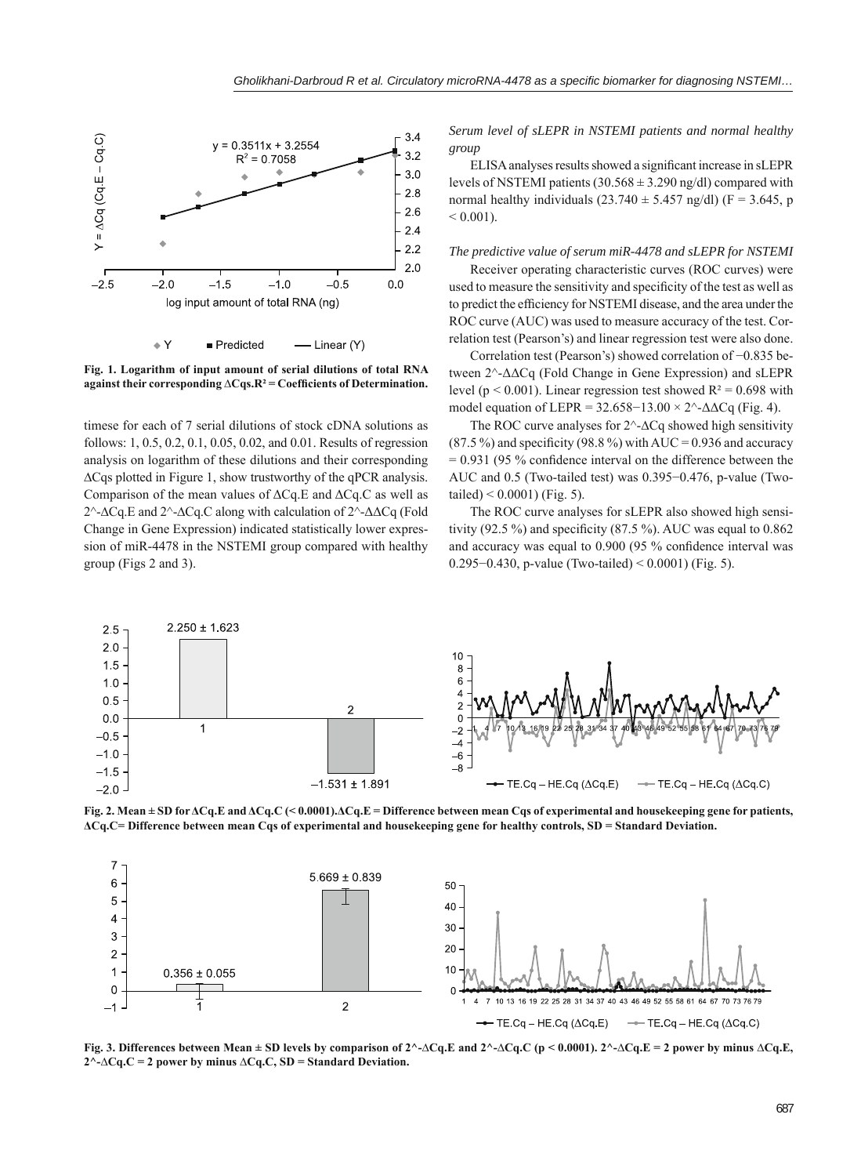

**Fig. 1. Logarithm of input amount of serial dilutions of total RNA against their corresponding ∆Cqs.R² = Coeffi cients of Determination.**

timese for each of 7 serial dilutions of stock cDNA solutions as follows: 1, 0.5, 0.2, 0.1, 0.05, 0.02, and 0.01. Results of regression analysis on logarithm of these dilutions and their corresponding ∆Cqs plotted in Figure 1, show trustworthy of the qPCR analysis. Comparison of the mean values of ΔCq.E and ΔCq.C as well as 2^-∆Cq.E and 2^-∆Cq.C along with calculation of 2^-ΔΔCq (Fold Change in Gene Expression) indicated statistically lower expression of miR-4478 in the NSTEMI group compared with healthy group (Figs 2 and 3).

*Serum level of sLEPR in NSTEMI patients and normal healthy group*

ELISA analyses results showed a significant increase in sLEPR levels of NSTEMI patients  $(30.568 \pm 3.290 \text{ ng/dl})$  compared with normal healthy individuals (23.740  $\pm$  5.457 ng/dl) (F = 3.645, p  $< 0.001$ ).

# *The predictive value of serum miR-4478 and sLEPR for NSTEMI*

Receiver operating characteristic curves (ROC curves) were used to measure the sensitivity and specificity of the test as well as to predict the efficiency for NSTEMI disease, and the area under the ROC curve (AUC) was used to measure accuracy of the test. Correlation test (Pearson's) and linear regression test were also done.

Correlation test (Pearson's) showed correlation of −0.835 between 2^-ΔΔCq (Fold Change in Gene Expression) and sLEPR level ( $p < 0.001$ ). Linear regression test showed  $R^2 = 0.698$  with model equation of LEPR =  $32.658-13.00 \times 2^{\circ}$ - $\Delta \Delta Cq$  (Fig. 4).

The ROC curve analyses for 2^-∆Cq showed high sensitivity  $(87.5\%)$  and specificity  $(98.8\%)$  with AUC = 0.936 and accuracy  $= 0.931$  (95 % confidence interval on the difference between the AUC and 0.5 (Two-tailed test) was 0.395−0.476, p-value (Twotailed)  $< 0.0001$ ) (Fig. 5).

The ROC curve analyses for sLEPR also showed high sensitivity (92.5 %) and specificity (87.5 %). AUC was equal to  $0.862$ and accuracy was equal to  $0.900$  (95 % confidence interval was 0.295−0.430, p-value (Two-tailed) < 0.0001) (Fig. 5).



**Fig. 2. Mean ± SD for ΔCq.E and ΔCq.C (< 0.0001).ΔCq.E = Difference between mean Cqs of experimental and housekeeping gene for patients, ΔCq.C= Difference between mean Cqs of experimental and housekeeping gene for healthy controls, SD = Standard Deviation.**



**Fig. 3. Differences between Mean ± SD levels by comparison of 2^-∆Cq.E and 2^-∆Cq.C (p < 0.0001). 2^-∆Cq.E = 2 power by minus ∆Cq.E, 2^-∆Cq.C = 2 power by minus ∆Cq.C, SD = Standard Deviation.**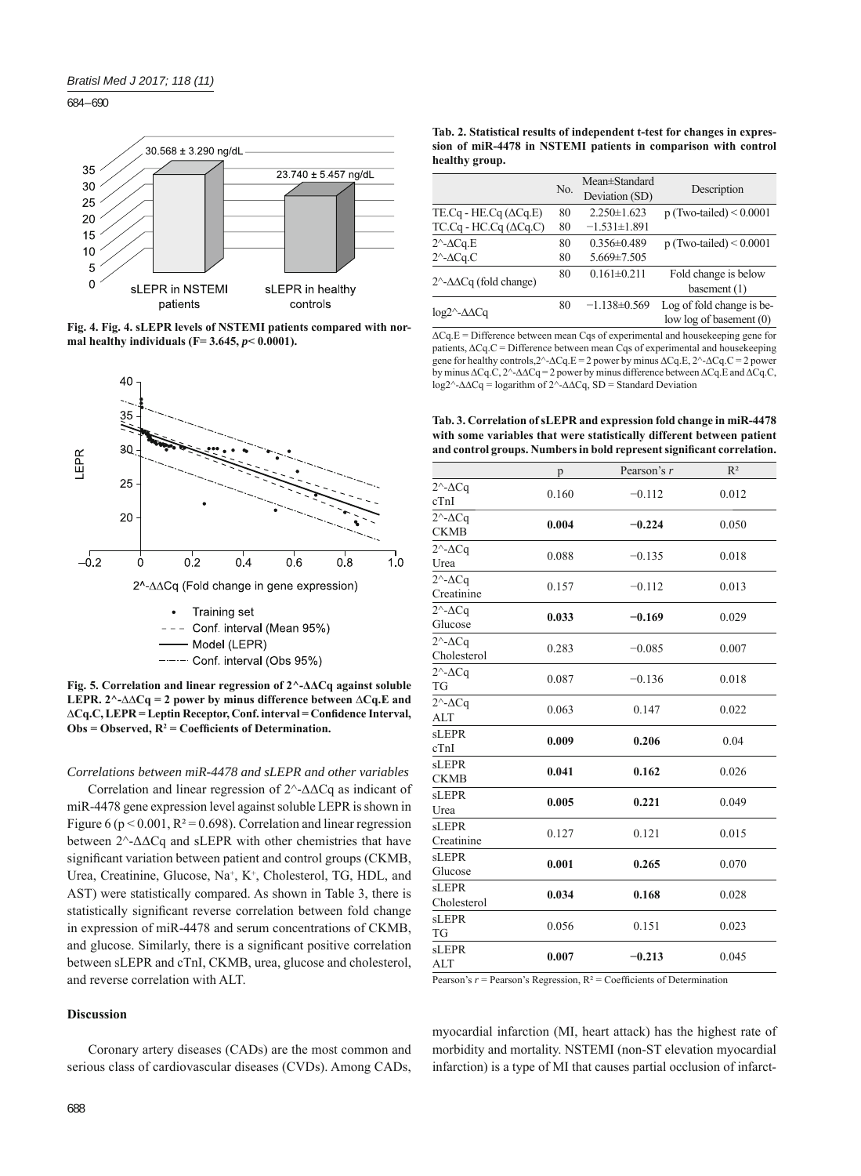684 – 690







 $---$  Conf. interval (Obs 95%)

**Fig. 5. Correlation and linear regression of 2^-ΔΔCq against soluble LEPR. 2^-∆∆Cq = 2 power by minus difference between ∆Cq.E and**  ∆Cq.C, LEPR = Leptin Receptor, Conf. interval = Confidence Interval,  $Obs = Observed, R<sup>2</sup> = Coefficients of Determination.$ 

#### *Correlations between miR-4478 and sLEPR and other variables*

Correlation and linear regression of 2^-ΔΔCq as indicant of miR-4478 gene expression level against soluble LEPR is shown in Figure 6 ( $p < 0.001$ ,  $R^2 = 0.698$ ). Correlation and linear regression between 2^-ΔΔCq and sLEPR with other chemistries that have significant variation between patient and control groups (CKMB, Urea, Creatinine, Glucose, Na<sup>+</sup>, K<sup>+</sup>, Cholesterol, TG, HDL, and AST) were statistically compared. As shown in Table 3, there is statistically significant reverse correlation between fold change in expression of miR-4478 and serum concentrations of CKMB, and glucose. Similarly, there is a significant positive correlation between sLEPR and cTnI, CKMB, urea, glucose and cholesterol, and reverse correlation with ALT.

# **Discussion**

Coronary artery diseases (CADs) are the most common and serious class of cardiovascular diseases (CVDs). Among CADs,

|                                                | No. | Mean±Standard<br>Deviation (SD) | Description                                          |
|------------------------------------------------|-----|---------------------------------|------------------------------------------------------|
| TE.Cq - HE.Cq $(\Delta Cq.E)$                  | 80  | $2.250 \pm 1.623$               | $p$ (Two-tailed) < 0.0001                            |
| $TC.Cq - HC.Cq (\Delta Cq.C)$                  | 80  | $-1.531 \pm 1.891$              |                                                      |
| $2^{\wedge}$ - $\triangle$ Cq.E                | 80  | $0.356 \pm 0.489$               | $p$ (Two-tailed) < 0.0001                            |
| $2^{\wedge}$ - $\triangle$ Cq.C                | 80  | $5.669 \pm 7.505$               |                                                      |
| $2^{\wedge}$ - $\Delta\Delta$ Cq (fold change) | 80  | $0.161 \pm 0.211$               | Fold change is below<br>basement $(1)$               |
| $log2^{\wedge}$ - $\Delta\Delta$ Cq            | 80  | $-1.138\pm0.569$                | Log of fold change is be-<br>low log of basement (0) |

ΔCq.E = Difference between mean Cqs of experimental and housekeeping gene for patients,  $\Delta C q$ .C = Difference between mean Cqs of experimental and housekeeping gene for healthy controls,2^-∆Cq.E = 2 power by minus ∆Cq.E, 2^-∆Cq.C = 2 power by minus ∆Cq.C, 2^-∆∆Cq = 2 power by minus difference between ∆Cq.E and ∆Cq.C, log2^-∆∆Cq = logarithm of 2^-∆∆Cq, SD = Standard Deviation

**Tab. 3. Correlation of sLEPR and expression fold change in miR-4478 with some variables that were statistically different between patient**  and control groups. Numbers in bold represent significant correlation.

|                                           | p     | Pearson's r | $R^2$ |
|-------------------------------------------|-------|-------------|-------|
| $2^{\wedge}$ - $\Delta$ Cq<br>cTnI        | 0.160 | $-0.112$    | 0.012 |
| $2^{\wedge}$ - $\Delta$ Cq<br><b>CKMB</b> | 0.004 | $-0.224$    | 0.050 |
| $2^{\wedge}$ - $\Delta$ Cq<br>Urea        | 0.088 | $-0.135$    | 0.018 |
| $2^{\wedge}$ - $\Delta$ Cq<br>Creatinine  | 0.157 | $-0.112$    | 0.013 |
| $2^{\wedge}$ - $\Delta$ Cq<br>Glucose     | 0.033 | $-0.169$    | 0.029 |
| $2^{\wedge}$ - $\Delta$ Cq<br>Cholesterol | 0.283 | $-0.085$    | 0.007 |
| $2^{\wedge}$ - $\Delta$ Cq<br>TG          | 0.087 | $-0.136$    | 0.018 |
| $2^{\wedge}$ - $\Delta$ Cq<br><b>ALT</b>  | 0.063 | 0.147       | 0.022 |
| <b>sLEPR</b><br>cTnI                      | 0.009 | 0.206       | 0.04  |
| <b>sLEPR</b><br><b>CKMB</b>               | 0.041 | 0.162       | 0.026 |
| <b>sLEPR</b><br>Urea                      | 0.005 | 0.221       | 0.049 |
| sLEPR<br>Creatinine                       | 0.127 | 0.121       | 0.015 |
| <b>sLEPR</b><br>Glucose                   | 0.001 | 0.265       | 0.070 |
| <b>sLEPR</b><br>Cholesterol               | 0.034 | 0.168       | 0.028 |
| <b>sLEPR</b><br><b>TG</b>                 | 0.056 | 0.151       | 0.023 |
| <b>sLEPR</b><br><b>ALT</b>                | 0.007 | $-0.213$    | 0.045 |

Pearson's  $r =$  Pearson's Regression,  $R^2 =$  Coefficients of Determination

myocardial infarction (MI, heart attack) has the highest rate of morbidity and mortality. NSTEMI (non-ST elevation myocardial infarction) is a type of MI that causes partial occlusion of infarct-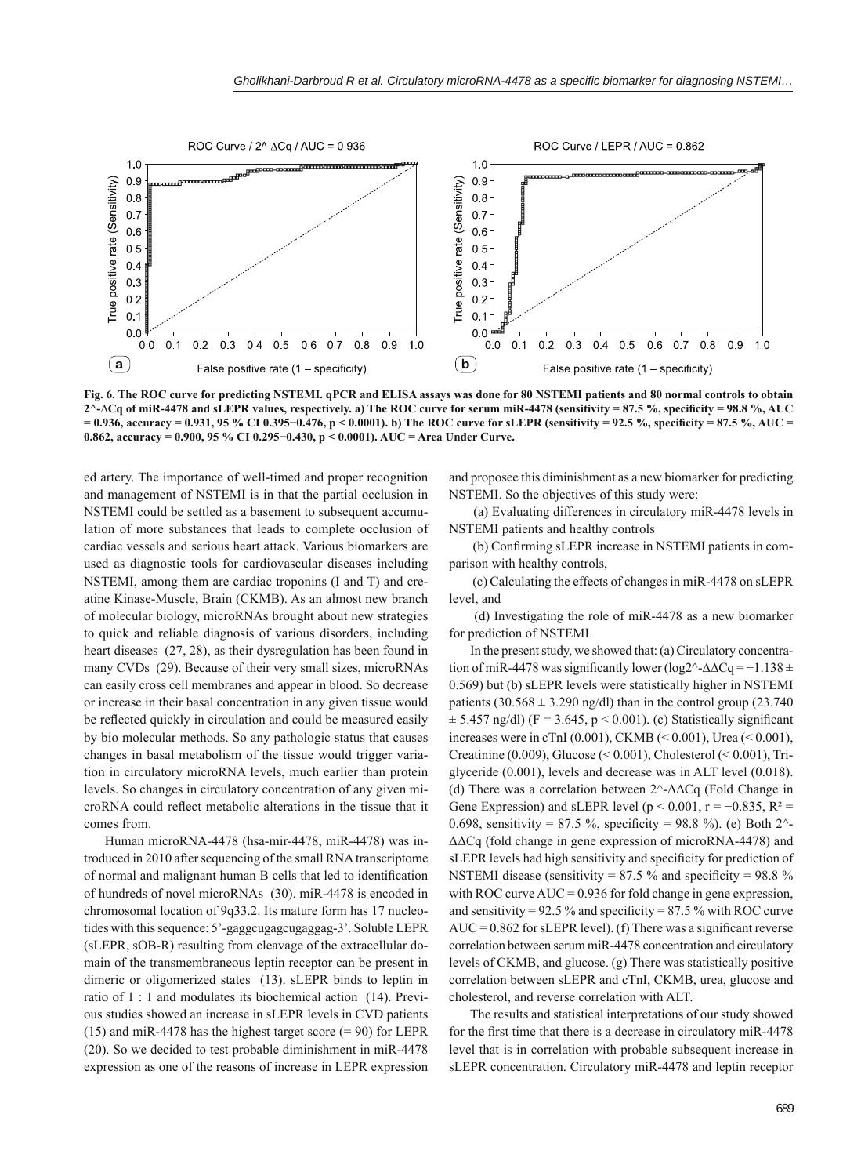

**Fig. 6. The ROC curve for predicting NSTEMI. qPCR and ELISA assays was done for 80 NSTEMI patients and 80 normal controls to obtain**  2^-∆Cq of miR-4478 and sLEPR values, respectively. a) The ROC curve for serum miR-4478 (sensitivity = 87.5 %, specificity = 98.8 %, AUC **= 0.936, accuracy = 0.931, 95 % CI 0.395−0.476, p < 0.0001). b) The ROC curve for sLEPR (sensitivity = 92.5 %, specifi city = 87.5 %, AUC = 0.862, accuracy = 0.900, 95 % CI 0.295−0.430, p < 0.0001). AUC = Area Under Curve.**

ed artery. The importance of well-timed and proper recognition and management of NSTEMI is in that the partial occlusion in NSTEMI could be settled as a basement to subsequent accumulation of more substances that leads to complete occlusion of cardiac vessels and serious heart attack. Various biomarkers are used as diagnostic tools for cardiovascular diseases including NSTEMI, among them are cardiac troponins (I and T) and creatine Kinase-Muscle, Brain (CKMB). As an almost new branch of molecular biology, microRNAs brought about new strategies to quick and reliable diagnosis of various disorders, including heart diseases (27, 28), as their dysregulation has been found in many CVDs (29). Because of their very small sizes, microRNAs can easily cross cell membranes and appear in blood. So decrease or increase in their basal concentration in any given tissue would be reflected quickly in circulation and could be measured easily by bio molecular methods. So any pathologic status that causes changes in basal metabolism of the tissue would trigger variation in circulatory microRNA levels, much earlier than protein levels. So changes in circulatory concentration of any given microRNA could reflect metabolic alterations in the tissue that it comes from.

Human microRNA-4478 (hsa-mir-4478, miR-4478) was introduced in 2010 after sequencing of the small RNA transcriptome of normal and malignant human B cells that led to identification of hundreds of novel microRNAs (30). miR-4478 is encoded in chromosomal location of 9q33.2. Its mature form has 17 nucleotides with this sequence: 5'-gaggcugagcugaggag-3'. Soluble LEPR (sLEPR, sOB-R) resulting from cleavage of the extracellular domain of the transmembraneous leptin receptor can be present in dimeric or oligomerized states (13). sLEPR binds to leptin in ratio of 1 : 1 and modulates its biochemical action (14). Previous studies showed an increase in sLEPR levels in CVD patients (15) and miR-4478 has the highest target score  $(= 90)$  for LEPR (20). So we decided to test probable diminishment in miR-4478 expression as one of the reasons of increase in LEPR expression

and proposee this diminishment as a new biomarker for predicting NSTEMI. So the objectives of this study were:

 (a) Evaluating differences in circulatory miR-4478 levels in NSTEMI patients and healthy controls

(b) Confirming sLEPR increase in NSTEMI patients in comparison with healthy controls,

 (c) Calculating the effects of changes in miR-4478 on sLEPR level, and

 (d) Investigating the role of miR-4478 as a new biomarker for prediction of NSTEMI.

In the present study, we showed that: (a) Circulatory concentration of miR-4478 was significantly lower (log2^- $\Delta\Delta$ Cq = −1.138 ± 0.569) but (b) sLEPR levels were statistically higher in NSTEMI patients  $(30.568 \pm 3.290 \text{ ng/dl})$  than in the control group  $(23.740$  $\pm$  5.457 ng/dl) (F = 3.645, p < 0.001). (c) Statistically significant increases were in cTnI (0.001), CKMB (< 0.001), Urea (< 0.001), Creatinine (0.009), Glucose (< 0.001), Cholesterol (< 0.001), Triglyceride (0.001), levels and decrease was in ALT level (0.018). (d) There was a correlation between 2^-ΔΔCq (Fold Change in Gene Expression) and sLEPR level ( $p < 0.001$ ,  $r = -0.835$ ,  $R^2 =$ 0.698, sensitivity = 87.5 %, specificity = 98.8 %). (e) Both  $2^{\wedge}$ -ΔΔCq (fold change in gene expression of microRNA-4478) and sLEPR levels had high sensitivity and specificity for prediction of NSTEMI disease (sensitivity =  $87.5 \%$  and specificity =  $98.8 \%$ with ROC curve  $AUC = 0.936$  for fold change in gene expression, and sensitivity =  $92.5\%$  and specificity =  $87.5\%$  with ROC curve  $AUC = 0.862$  for sLEPR level). (f) There was a significant reverse correlation between serum miR-4478 concentration and circulatory levels of CKMB, and glucose. (g) There was statistically positive correlation between sLEPR and cTnI, CKMB, urea, glucose and cholesterol, and reverse correlation with ALT.

The results and statistical interpretations of our study showed for the first time that there is a decrease in circulatory miR-4478 level that is in correlation with probable subsequent increase in sLEPR concentration. Circulatory miR-4478 and leptin receptor